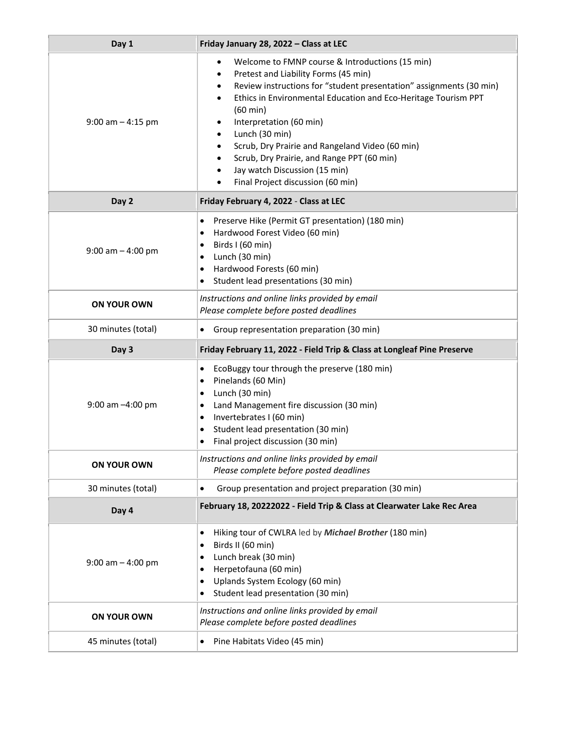| Day 1                 | Friday January 28, 2022 - Class at LEC                                                                                                                                                                                                                                                                                                                                                                                                                                                                                                   |
|-----------------------|------------------------------------------------------------------------------------------------------------------------------------------------------------------------------------------------------------------------------------------------------------------------------------------------------------------------------------------------------------------------------------------------------------------------------------------------------------------------------------------------------------------------------------------|
| $9:00$ am $-4:15$ pm  | Welcome to FMNP course & Introductions (15 min)<br>$\bullet$<br>Pretest and Liability Forms (45 min)<br>$\bullet$<br>Review instructions for "student presentation" assignments (30 min)<br>٠<br>Ethics in Environmental Education and Eco-Heritage Tourism PPT<br>$\bullet$<br>$(60 \text{ min})$<br>Interpretation (60 min)<br>Lunch (30 min)<br>Scrub, Dry Prairie and Rangeland Video (60 min)<br>Scrub, Dry Prairie, and Range PPT (60 min)<br>Jay watch Discussion (15 min)<br>٠<br>Final Project discussion (60 min)<br>$\bullet$ |
| Day 2                 | Friday February 4, 2022 - Class at LEC                                                                                                                                                                                                                                                                                                                                                                                                                                                                                                   |
| $9:00$ am $-$ 4:00 pm | Preserve Hike (Permit GT presentation) (180 min)<br>٠<br>Hardwood Forest Video (60 min)<br>$\bullet$<br>Birds I (60 min)<br>٠<br>Lunch (30 min)<br>٠<br>Hardwood Forests (60 min)<br>٠<br>Student lead presentations (30 min)<br>٠                                                                                                                                                                                                                                                                                                       |
| <b>ON YOUR OWN</b>    | Instructions and online links provided by email<br>Please complete before posted deadlines                                                                                                                                                                                                                                                                                                                                                                                                                                               |
| 30 minutes (total)    | Group representation preparation (30 min)<br>٠                                                                                                                                                                                                                                                                                                                                                                                                                                                                                           |
| Day 3                 | Friday February 11, 2022 - Field Trip & Class at Longleaf Pine Preserve                                                                                                                                                                                                                                                                                                                                                                                                                                                                  |
| 9:00 am -4:00 pm      | EcoBuggy tour through the preserve (180 min)<br>$\bullet$<br>Pinelands (60 Min)<br>$\bullet$<br>Lunch (30 min)<br>٠<br>Land Management fire discussion (30 min)<br>٠<br>Invertebrates I (60 min)<br>٠<br>Student lead presentation (30 min)<br>٠<br>Final project discussion (30 min)<br>٠                                                                                                                                                                                                                                               |
| <b>ON YOUR OWN</b>    | Instructions and online links provided by email<br>Please complete before posted deadlines                                                                                                                                                                                                                                                                                                                                                                                                                                               |
| 30 minutes (total)    | Group presentation and project preparation (30 min)<br>$\bullet$                                                                                                                                                                                                                                                                                                                                                                                                                                                                         |
| Day 4                 | February 18, 20222022 - Field Trip & Class at Clearwater Lake Rec Area                                                                                                                                                                                                                                                                                                                                                                                                                                                                   |
| $9:00$ am $-4:00$ pm  | Hiking tour of CWLRA led by Michael Brother (180 min)<br>$\bullet$<br>Birds II (60 min)<br>٠<br>Lunch break (30 min)<br>٠<br>Herpetofauna (60 min)<br>٠<br>Uplands System Ecology (60 min)<br>٠<br>Student lead presentation (30 min)<br>٠                                                                                                                                                                                                                                                                                               |
| ON YOUR OWN           | Instructions and online links provided by email<br>Please complete before posted deadlines                                                                                                                                                                                                                                                                                                                                                                                                                                               |
| 45 minutes (total)    | Pine Habitats Video (45 min)<br>$\bullet$                                                                                                                                                                                                                                                                                                                                                                                                                                                                                                |